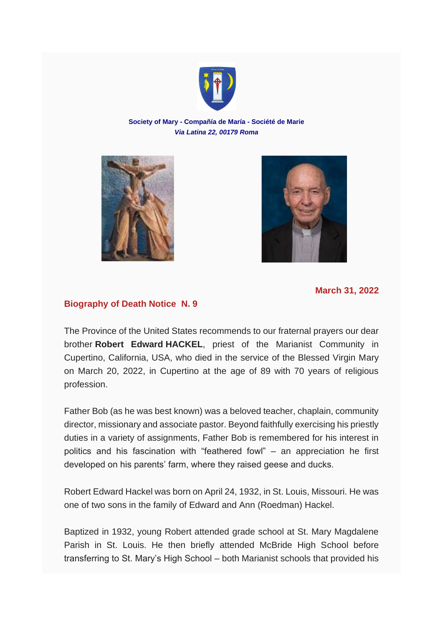

**Society of Mary - Compañía de María - Société de Marie** *Via Latina 22, 00179 Roma*





**March 31, 2022**

## **Biography of Death Notice N. 9**

The Province of the United States recommends to our fraternal prayers our dear brother **Robert Edward HACKEL**, priest of the Marianist Community in Cupertino, California, USA, who died in the service of the Blessed Virgin Mary on March 20, 2022, in Cupertino at the age of 89 with 70 years of religious profession.

Father Bob (as he was best known) was a beloved teacher, chaplain, community director, missionary and associate pastor. Beyond faithfully exercising his priestly duties in a variety of assignments, Father Bob is remembered for his interest in politics and his fascination with "feathered fowl" – an appreciation he first developed on his parents' farm, where they raised geese and ducks.

Robert Edward Hackel was born on April 24, 1932, in St. Louis, Missouri. He was one of two sons in the family of Edward and Ann (Roedman) Hackel.

Baptized in 1932, young Robert attended grade school at St. Mary Magdalene Parish in St. Louis. He then briefly attended McBride High School before transferring to St. Mary's High School – both Marianist schools that provided his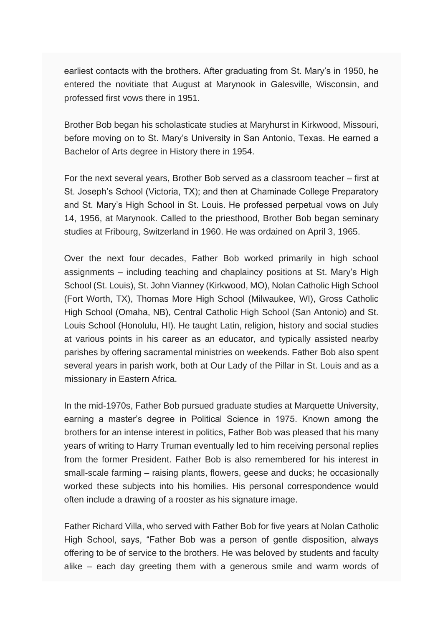earliest contacts with the brothers. After graduating from St. Mary's in 1950, he entered the novitiate that August at Marynook in Galesville, Wisconsin, and professed first vows there in 1951.

Brother Bob began his scholasticate studies at Maryhurst in Kirkwood, Missouri, before moving on to St. Mary's University in San Antonio, Texas. He earned a Bachelor of Arts degree in History there in 1954.

For the next several years, Brother Bob served as a classroom teacher – first at St. Joseph's School (Victoria, TX); and then at Chaminade College Preparatory and St. Mary's High School in St. Louis. He professed perpetual vows on July 14, 1956, at Marynook. Called to the priesthood, Brother Bob began seminary studies at Fribourg, Switzerland in 1960. He was ordained on April 3, 1965.

Over the next four decades, Father Bob worked primarily in high school assignments – including teaching and chaplaincy positions at St. Mary's High School (St. Louis), St. John Vianney (Kirkwood, MO), Nolan Catholic High School (Fort Worth, TX), Thomas More High School (Milwaukee, WI), Gross Catholic High School (Omaha, NB), Central Catholic High School (San Antonio) and St. Louis School (Honolulu, HI). He taught Latin, religion, history and social studies at various points in his career as an educator, and typically assisted nearby parishes by offering sacramental ministries on weekends. Father Bob also spent several years in parish work, both at Our Lady of the Pillar in St. Louis and as a missionary in Eastern Africa.

In the mid-1970s, Father Bob pursued graduate studies at Marquette University, earning a master's degree in Political Science in 1975. Known among the brothers for an intense interest in politics, Father Bob was pleased that his many years of writing to Harry Truman eventually led to him receiving personal replies from the former President. Father Bob is also remembered for his interest in small-scale farming – raising plants, flowers, geese and ducks; he occasionally worked these subjects into his homilies. His personal correspondence would often include a drawing of a rooster as his signature image.

Father Richard Villa, who served with Father Bob for five years at Nolan Catholic High School, says, "Father Bob was a person of gentle disposition, always offering to be of service to the brothers. He was beloved by students and faculty alike – each day greeting them with a generous smile and warm words of